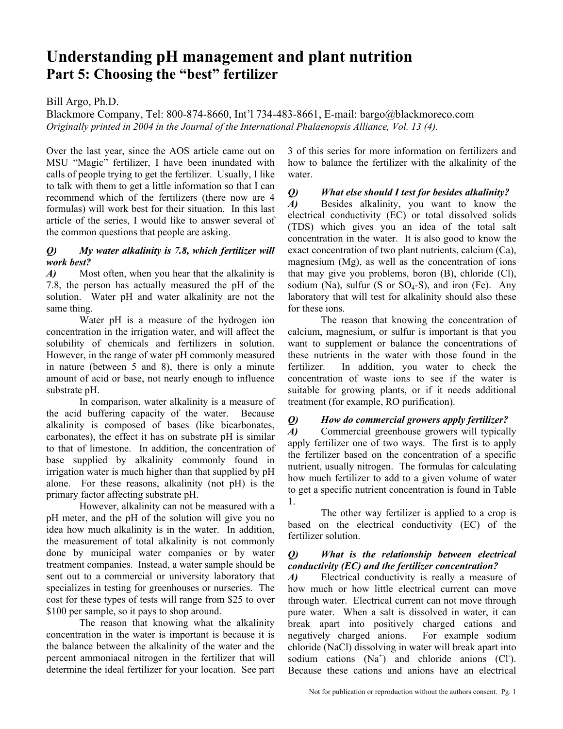# **Understanding pH management and plant nutrition Part 5: Choosing the "best" fertilizer**

# Bill Argo, Ph.D.

Blackmore Company, Tel: 800-874-8660, Int'l 734-483-8661, E-mail: bargo@blackmoreco.com *Originally printed in 2004 in the Journal of the International Phalaenopsis Alliance, Vol. 13 (4).* 

Over the last year, since the AOS article came out on MSU "Magic" fertilizer, I have been inundated with calls of people trying to get the fertilizer. Usually, I like to talk with them to get a little information so that I can recommend which of the fertilizers (there now are 4 formulas) will work best for their situation. In this last article of the series, I would like to answer several of the common questions that people are asking.

#### *Q) My water alkalinity is 7.8, which fertilizer will work best?*

*A*) Most often, when you hear that the alkalinity is 7.8, the person has actually measured the pH of the solution. Water pH and water alkalinity are not the same thing.

Water pH is a measure of the hydrogen ion concentration in the irrigation water, and will affect the solubility of chemicals and fertilizers in solution. However, in the range of water pH commonly measured in nature (between 5 and 8), there is only a minute amount of acid or base, not nearly enough to influence substrate pH.

In comparison, water alkalinity is a measure of the acid buffering capacity of the water. Because alkalinity is composed of bases (like bicarbonates, carbonates), the effect it has on substrate pH is similar to that of limestone. In addition, the concentration of base supplied by alkalinity commonly found in irrigation water is much higher than that supplied by pH alone. For these reasons, alkalinity (not pH) is the primary factor affecting substrate pH.

However, alkalinity can not be measured with a pH meter, and the pH of the solution will give you no idea how much alkalinity is in the water. In addition, the measurement of total alkalinity is not commonly done by municipal water companies or by water treatment companies. Instead, a water sample should be sent out to a commercial or university laboratory that specializes in testing for greenhouses or nurseries. The cost for these types of tests will range from \$25 to over \$100 per sample, so it pays to shop around.

The reason that knowing what the alkalinity concentration in the water is important is because it is the balance between the alkalinity of the water and the percent ammoniacal nitrogen in the fertilizer that will determine the ideal fertilizer for your location. See part 3 of this series for more information on fertilizers and how to balance the fertilizer with the alkalinity of the water.

*Q) What else should I test for besides alkalinity?* 

*A)* Besides alkalinity, you want to know the electrical conductivity (EC) or total dissolved solids (TDS) which gives you an idea of the total salt concentration in the water. It is also good to know the exact concentration of two plant nutrients, calcium (Ca), magnesium (Mg), as well as the concentration of ions that may give you problems, boron (B), chloride (Cl), sodium (Na), sulfur (S or  $SO_4$ -S), and iron (Fe). Any laboratory that will test for alkalinity should also these for these ions.

 The reason that knowing the concentration of calcium, magnesium, or sulfur is important is that you want to supplement or balance the concentrations of these nutrients in the water with those found in the fertilizer. In addition, you water to check the concentration of waste ions to see if the water is suitable for growing plants, or if it needs additional treatment (for example, RO purification).

# *Q) How do commercial growers apply fertilizer?*

*A)* Commercial greenhouse growers will typically apply fertilizer one of two ways. The first is to apply the fertilizer based on the concentration of a specific nutrient, usually nitrogen. The formulas for calculating how much fertilizer to add to a given volume of water to get a specific nutrient concentration is found in Table 1.

The other way fertilizer is applied to a crop is based on the electrical conductivity (EC) of the fertilizer solution.

#### *Q) What is the relationship between electrical conductivity (EC) and the fertilizer concentration?*

*A)* Electrical conductivity is really a measure of how much or how little electrical current can move through water. Electrical current can not move through pure water. When a salt is dissolved in water, it can break apart into positively charged cations and negatively charged anions. For example sodium chloride (NaCl) dissolving in water will break apart into sodium cations  $(Na^+)$  and chloride anions (Cl). Because these cations and anions have an electrical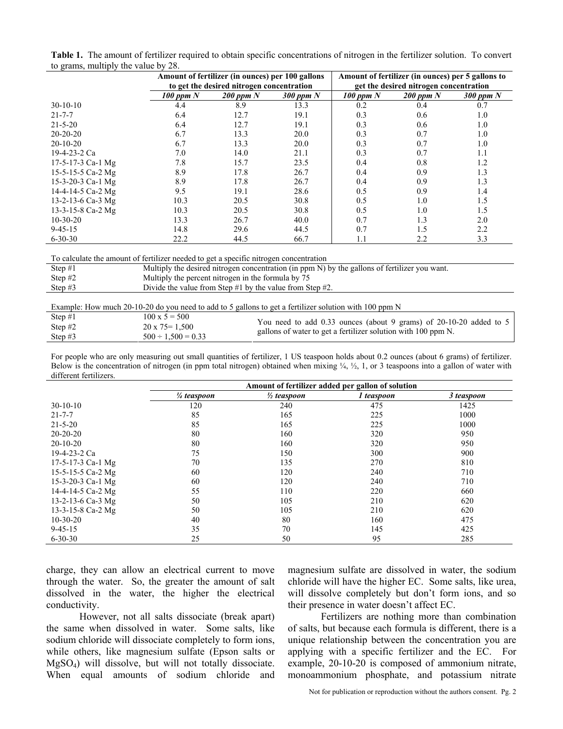| Table 1. The amount of fertilizer required to obtain specific concentrations of nitrogen in the fertilizer solution. To convert |  |
|---------------------------------------------------------------------------------------------------------------------------------|--|
| to grams, multiply the value by 28.                                                                                             |  |

|                   |             | Amount of fertilizer (in ounces) per 100 gallons<br>to get the desired nitrogen concentration |               | Amount of fertilizer (in ounces) per 5 gallons to<br>get the desired nitrogen concentration |               |               |
|-------------------|-------------|-----------------------------------------------------------------------------------------------|---------------|---------------------------------------------------------------------------------------------|---------------|---------------|
|                   | 100 ppm $N$ | $200$ ppm $N$                                                                                 | $300$ ppm $N$ | $100$ ppm $N$                                                                               | $200$ ppm $N$ | $300$ ppm $N$ |
| $30-10-10$        | 4.4         | 8.9                                                                                           | 13.3          | 0.2                                                                                         | 0.4           | 0.7           |
| $21 - 7 - 7$      | 6.4         | 12.7                                                                                          | 19.1          | 0.3                                                                                         | 0.6           | 1.0           |
| $21 - 5 - 20$     | 6.4         | 12.7                                                                                          | 19.1          | 0.3                                                                                         | 0.6           | 1.0           |
| $20 - 20 - 20$    | 6.7         | 13.3                                                                                          | 20.0          | 0.3                                                                                         | 0.7           | 1.0           |
| $20-10-20$        | 6.7         | 13.3                                                                                          | 20.0          | 0.3                                                                                         | 0.7           | 1.0           |
| 19-4-23-2 Ca      | 7.0         | 14.0                                                                                          | 21.1          | 0.3                                                                                         | 0.7           | 1.1           |
| 17-5-17-3 Ca-1 Mg | 7.8         | 15.7                                                                                          | 23.5          | 0.4                                                                                         | 0.8           | 1.2           |
| 15-5-15-5 Ca-2 Mg | 8.9         | 17.8                                                                                          | 26.7          | 0.4                                                                                         | 0.9           | 1.3           |
| 15-3-20-3 Ca-1 Mg | 8.9         | 17.8                                                                                          | 26.7          | 0.4                                                                                         | 0.9           | 1.3           |
| 14-4-14-5 Ca-2 Mg | 9.5         | 19.1                                                                                          | 28.6          | 0.5                                                                                         | 0.9           | 1.4           |
| 13-2-13-6 Ca-3 Mg | 10.3        | 20.5                                                                                          | 30.8          | 0.5                                                                                         | 1.0           | 1.5           |
| 13-3-15-8 Ca-2 Mg | 10.3        | 20.5                                                                                          | 30.8          | 0.5                                                                                         | 1.0           | 1.5           |
| $10-30-20$        | 13.3        | 26.7                                                                                          | 40.0          | 0.7                                                                                         | 1.3           | 2.0           |
| $9 - 45 - 15$     | 14.8        | 29.6                                                                                          | 44.5          | 0.7                                                                                         | 1.5           | 2.2           |
| $6 - 30 - 30$     | 22.2        | 44.5                                                                                          | 66.7          | 1.1                                                                                         | 2.2           | 3.3           |

| To calculate the amount of fertilizer needed to get a specific nitrogen concentration |  |  |
|---------------------------------------------------------------------------------------|--|--|
|                                                                                       |  |  |

| Step $#1$ | Multiply the desired nitrogen concentration (in ppm N) by the gallons of fertilizer you want. |
|-----------|-----------------------------------------------------------------------------------------------|
| Step $#2$ | Multiply the percent nitrogen in the formula by 75                                            |
| Step $#3$ | Divide the value from Step $#1$ by the value from Step $#2$ .                                 |

Example: How much 20-10-20 do you need to add to 5 gallons to get a fertilizer solution with 100 ppm N

| Step $#1$ | $100 \times 5 = 500$    | You need to add 0.33 ounces (about 9 grams) of 20-10-20 added to 5 |
|-----------|-------------------------|--------------------------------------------------------------------|
| Step $#2$ | $20 \times 75 = 1,500$  | gallons of water to get a fertilizer solution with 100 ppm N.      |
| Step $#3$ | $500 \div 1,500 = 0.33$ |                                                                    |

For people who are only measuring out small quantities of fertilizer, 1 US teaspoon holds about 0.2 ounces (about 6 grams) of fertilizer. Below is the concentration of nitrogen (in ppm total nitrogen) obtained when mixing  $\frac{1}{4}$ ,  $\frac{1}{2}$ , 1, or 3 teaspoons into a gallon of water with different fertilizers.

|                   | Amount of fertilizer added per gallon of solution |                        |            |            |  |  |  |
|-------------------|---------------------------------------------------|------------------------|------------|------------|--|--|--|
|                   | $\frac{1}{4}$ teaspoon                            | $\frac{1}{2}$ teaspoon | 1 teaspoon | 3 teaspoon |  |  |  |
| $30-10-10$        | 120                                               | 240                    | 475        | 1425       |  |  |  |
| $21 - 7 - 7$      | 85                                                | 165                    | 225        | 1000       |  |  |  |
| $21 - 5 - 20$     | 85                                                | 165                    | 225        | 1000       |  |  |  |
| $20 - 20 - 20$    | 80                                                | 160                    | 320        | 950        |  |  |  |
| $20-10-20$        | 80                                                | 160                    | 320        | 950        |  |  |  |
| 19-4-23-2 Ca      | 75                                                | 150                    | 300        | 900        |  |  |  |
| 17-5-17-3 Ca-1 Mg | 70                                                | 135                    | 270        | 810        |  |  |  |
| 15-5-15-5 Ca-2 Mg | 60                                                | 120                    | 240        | 710        |  |  |  |
| 15-3-20-3 Ca-1 Mg | 60                                                | 120                    | 240        | 710        |  |  |  |
| 14-4-14-5 Ca-2 Mg | 55                                                | 110                    | 220        | 660        |  |  |  |
| 13-2-13-6 Ca-3 Mg | 50                                                | 105                    | 210        | 620        |  |  |  |
| 13-3-15-8 Ca-2 Mg | 50                                                | 105                    | 210        | 620        |  |  |  |
| $10-30-20$        | 40                                                | 80                     | 160        | 475        |  |  |  |
| $9 - 45 - 15$     | 35                                                | 70                     | 145        | 425        |  |  |  |
| $6 - 30 - 30$     | 25                                                | 50                     | 95         | 285        |  |  |  |

charge, they can allow an electrical current to move through the water. So, the greater the amount of salt dissolved in the water, the higher the electrical conductivity.

 However, not all salts dissociate (break apart) the same when dissolved in water. Some salts, like sodium chloride will dissociate completely to form ions, while others, like magnesium sulfate (Epson salts or MgSO4) will dissolve, but will not totally dissociate. When equal amounts of sodium chloride and magnesium sulfate are dissolved in water, the sodium chloride will have the higher EC. Some salts, like urea, will dissolve completely but don't form ions, and so their presence in water doesn't affect EC.

 Fertilizers are nothing more than combination of salts, but because each formula is different, there is a unique relationship between the concentration you are applying with a specific fertilizer and the EC. For example, 20-10-20 is composed of ammonium nitrate, monoammonium phosphate, and potassium nitrate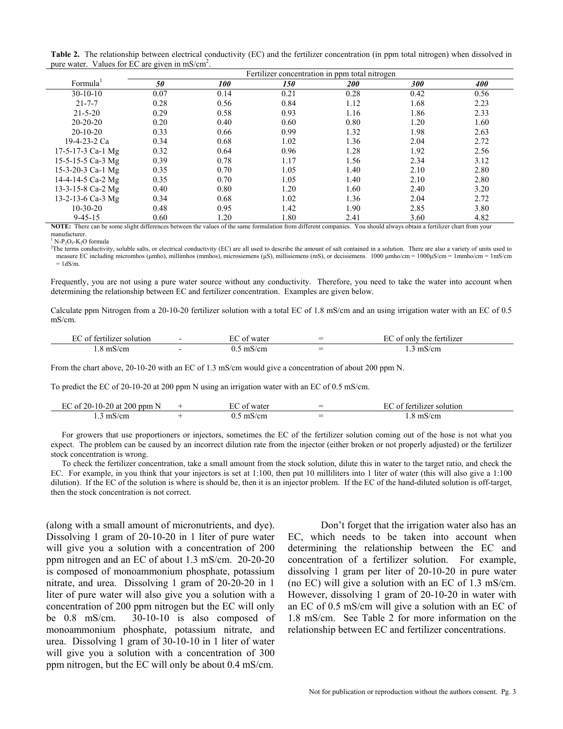|  | Table 2. The relationship between electrical conductivity (EC) and the fertilizer concentration (in ppm total nitrogen) when dissolved in |  |  |  |  |
|--|-------------------------------------------------------------------------------------------------------------------------------------------|--|--|--|--|
|  | pure water. Values for EC are given in $\text{mS/cm}^2$ .                                                                                 |  |  |  |  |

|                      | Fertilizer concentration in ppm total nitrogen |            |      |            |                   |      |  |
|----------------------|------------------------------------------------|------------|------|------------|-------------------|------|--|
| Formula <sup>1</sup> | 50                                             | <i>100</i> | 150  | <i>200</i> | <i><b>300</b></i> | 400  |  |
| $30-10-10$           | 0.07                                           | 0.14       | 0.21 | 0.28       | 0.42              | 0.56 |  |
| $21 - 7 - 7$         | 0.28                                           | 0.56       | 0.84 | 1.12       | 1.68              | 2.23 |  |
| $21 - 5 - 20$        | 0.29                                           | 0.58       | 0.93 | 1.16       | 1.86              | 2.33 |  |
| $20 - 20 - 20$       | 0.20                                           | 0.40       | 0.60 | 0.80       | 1.20              | 1.60 |  |
| $20-10-20$           | 0.33                                           | 0.66       | 0.99 | 1.32       | 1.98              | 2.63 |  |
| 19-4-23-2 Ca         | 0.34                                           | 0.68       | 1.02 | 1.36       | 2.04              | 2.72 |  |
| 17-5-17-3 Ca-1 Mg    | 0.32                                           | 0.64       | 0.96 | 1.28       | 1.92              | 2.56 |  |
| 15-5-15-5 Ca-3 Mg    | 0.39                                           | 0.78       | 1.17 | 1.56       | 2.34              | 3.12 |  |
| 15-3-20-3 Ca-1 Mg    | 0.35                                           | 0.70       | 1.05 | 1.40       | 2.10              | 2.80 |  |
| 14-4-14-5 Ca-2 Mg    | 0.35                                           | 0.70       | 1.05 | 1.40       | 2.10              | 2.80 |  |
| 13-3-15-8 Ca-2 Mg    | 0.40                                           | 0.80       | 1.20 | 1.60       | 2.40              | 3.20 |  |
| 13-2-13-6 Ca-3 Mg    | 0.34                                           | 0.68       | 1.02 | 1.36       | 2.04              | 2.72 |  |
| $10-30-20$           | 0.48                                           | 0.95       | 1.42 | 1.90       | 2.85              | 3.80 |  |
| $9 - 45 - 15$        | 0.60                                           | 1.20       | 1.80 | 2.41       | 3.60              | 4.82 |  |

**NOTE:** There can be some slight differences between the values of the same formulation from different companies. You should always obtain a fertilizer chart from your manufacturer.

 $N-P_2O_6-K_2O$  formula

<sup>1</sup> N-P<sub>2</sub>O<sub>5</sub>-K<sub>2</sub>O formula<br><sup>2</sup>The terms conductivity, soluble salts, or electrical conductivity (EC) are all used to describe the amount of salt contained in a solution. There are also a variety of units used to measure EC including micromhos (µmho), millimhos (mmhos), microsiemens (µS), millisiemens (mS), or decisiemens. 1000 µmho/cm = 1000µS/cm = 1mmho/cm = 1mS/cm  $= 1dS/m$ 

Frequently, you are not using a pure water source without any conductivity. Therefore, you need to take the water into account when determining the relationship between EC and fertilizer concentration. Examples are given below.

Calculate ppm Nitrogen from a 20-10-20 fertilizer solution with a total EC of 1.8 mS/cm and an using irrigation water with an EC of 0.5 mS/cm.

| hlizer solution<br>_റ+<br>terti | water<br>. | $\overline{\phantom{0}}$<br>- | tertilizer<br>only<br>. റ+<br>the. |
|---------------------------------|------------|-------------------------------|------------------------------------|
| m<br>$\sqrt{2}$<br>$\sim$       | /cn<br>m   | -                             |                                    |

From the chart above, 20-10-20 with an EC of 1.3 mS/cm would give a concentration of about 200 ppm N.

To predict the EC of 20-10-20 at 200 ppm N using an irrigation water with an EC of 0.5 mS/cm.

| 200<br>$^{\prime}$ ) ( )<br>n n r<br>U.<br>l at<br>. N.<br>'''<br>. | 721 F<br>. | $\overline{\phantom{0}}$<br>$\overline{\phantom{0}}$ | tion   |
|---------------------------------------------------------------------|------------|------------------------------------------------------|--------|
| .                                                                   |            | $\overline{\phantom{0}}$                             | $\sim$ |

For growers that use proportioners or injectors, sometimes the EC of the fertilizer solution coming out of the hose is not what you expect. The problem can be caused by an incorrect dilution rate from the injector (either broken or not properly adjusted) or the fertilizer stock concentration is wrong.

To check the fertilizer concentration, take a small amount from the stock solution, dilute this in water to the target ratio, and check the EC. For example, in you think that your injectors is set at 1:100, then put 10 milliliters into 1 liter of water (this will also give a 1:100 dilution). If the EC of the solution is where is should be, then it is an injector problem. If the EC of the hand-diluted solution is off-target, then the stock concentration is not correct.

(along with a small amount of micronutrients, and dye). Dissolving 1 gram of 20-10-20 in 1 liter of pure water will give you a solution with a concentration of 200 ppm nitrogen and an EC of about 1.3 mS/cm. 20-20-20 is composed of monoammonium phosphate, potassium nitrate, and urea. Dissolving 1 gram of 20-20-20 in 1 liter of pure water will also give you a solution with a concentration of 200 ppm nitrogen but the EC will only be 0.8 mS/cm. 30-10-10 is also composed of monoammonium phosphate, potassium nitrate, and urea. Dissolving 1 gram of 30-10-10 in 1 liter of water will give you a solution with a concentration of 300 ppm nitrogen, but the EC will only be about 0.4 mS/cm.

 Don't forget that the irrigation water also has an EC, which needs to be taken into account when determining the relationship between the EC and concentration of a fertilizer solution. For example, dissolving 1 gram per liter of 20-10-20 in pure water (no EC) will give a solution with an EC of 1.3 mS/cm. However, dissolving 1 gram of 20-10-20 in water with an EC of 0.5 mS/cm will give a solution with an EC of 1.8 mS/cm. See Table 2 for more information on the relationship between EC and fertilizer concentrations.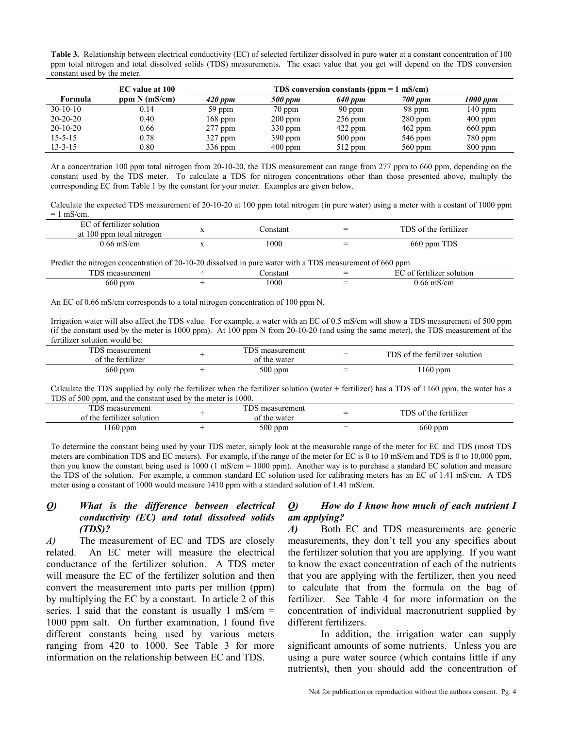**Table 3.** Relationship between electrical conductivity (EC) of selected fertilizer dissolved in pure water at a constant concentration of 100 ppm total nitrogen and total dissolved solids (TDS) measurements. The exact value that you get will depend on the TDS conversion constant used by the meter.

|                | EC value at 100 | TDS conversion constants ( $ppm = 1$ mS/cm) |           |           |           |           |
|----------------|-----------------|---------------------------------------------|-----------|-----------|-----------|-----------|
| Formula        | ppm N (mS/cm)   | $420$ ppm                                   | 500 ppm   | 640 ppm   | 700 ppm   | 1000 ppm  |
| $30-10-10$     | 0.14            | 59 ppm                                      | $70$ ppm  | 90 ppm    | 98 ppm    | $140$ ppm |
| $20 - 20 - 20$ | 0.40            | $168$ ppm                                   | $200$ ppm | $256$ ppm | $280$ ppm | $400$ ppm |
| $20-10-20$     | 0.66            | $277$ ppm                                   | $330$ ppm | $422$ ppm | $462$ ppm | $660$ ppm |
| $15 - 5 - 15$  | 0.78            | $327$ ppm                                   | $390$ ppm | $500$ ppm | $546$ ppm | $780$ ppm |
| $13 - 3 - 15$  | $0.80\,$        | $336$ ppm                                   | $400$ ppm | $512$ ppm | $560$ ppm | $800$ ppm |

At a concentration 100 ppm total nitrogen from 20-10-20, the TDS measurement can range from 277 ppm to 660 ppm, depending on the constant used by the TDS meter. To calculate a TDS for nitrogen concentrations other than those presented above, multiply the corresponding EC from Table 1 by the constant for your meter. Examples are given below.

Calculate the expected TDS measurement of 20-10-20 at 100 ppm total nitrogen (in pure water) using a meter with a costant of 1000 ppm  $= 1$  mS/cm.

| of fertilizer solution<br>at 100 ppm total nitrogen | `onstant | $=$ | TDS of the fertilizer |
|-----------------------------------------------------|----------|-----|-----------------------|
| 1.66 mS/cm                                          | 000      | $=$ | 660 ppm TDS           |

Predict the nitrogen concentration of 20-10-20 dissolved in pure water with a TDS measurement of 660 ppm

| ---<br>measurement |                          | `onstant | $\overline{\phantom{0}}$ | tertilizer solution *<br>∩ |
|--------------------|--------------------------|----------|--------------------------|----------------------------|
| 660 ppm            | $\overline{\phantom{a}}$ | 1000     | $=$                      | 0.66 mS/cm                 |

An EC of 0.66 mS/cm corresponds to a total nitrogen concentration of 100 ppm N.

Irrigation water will also affect the TDS value. For example, a water with an EC of 0.5 mS/cm will show a TDS measurement of 500 ppm (if the constant used by the meter is 1000 ppm). At 100 ppm N from 20-10-20 (and using the same meter), the TDS measurement of the fertilizer solution would be:

| TDS measurement<br>.<br>of the fertilizer | TDS measurement<br>of the water | $\overline{\phantom{0}}$<br>— | TDS of the fertilizer solution |
|-------------------------------------------|---------------------------------|-------------------------------|--------------------------------|
| $660$ ppm                                 | $500$ ppm                       |                               | $160$ ppm                      |

Calculate the TDS supplied by only the fertilizer when the fertilizer solution (water + fertilizer) has a TDS of 1160 ppm, the water has a TDS of 500 ppm, and the constant used by the meter is 1000.

| TDS measurement<br>of the fertilizer solution | TDS measurement<br>of the water | –<br>= | TDS of the fertilizer |
|-----------------------------------------------|---------------------------------|--------|-----------------------|
| $160$ ppm                                     | 500 ppm                         | $=$    | $660$ ppm             |

To determine the constant being used by your TDS meter, simply look at the measurable range of the meter for EC and TDS (most TDS meters are combination TDS and EC meters). For example, if the range of the meter for EC is 0 to 10 mS/cm and TDS is 0 to 10,000 ppm, then you know the constant being used is  $1000$  (1 mS/cm =  $1000$  ppm). Another way is to purchase a standard EC solution and measure the TDS of the solution. For example, a common standard EC solution used for calibrating meters has an EC of 1.41 mS/cm. A TDS meter using a constant of 1000 would measure 1410 ppm with a standard solution of 1.41 mS/cm.

#### *Q) What is the difference between electrical conductivity (EC) and total dissolved solids (TDS)?*

*A*) The measurement of EC and TDS are closely related. An EC meter will measure the electrical conductance of the fertilizer solution. A TDS meter will measure the EC of the fertilizer solution and then convert the measurement into parts per million (ppm) by multiplying the EC by a constant. In article 2 of this series, I said that the constant is usually  $1 \text{ mS/cm} =$ 1000 ppm salt. On further examination, I found five different constants being used by various meters ranging from 420 to 1000. See Table 3 for more information on the relationship between EC and TDS.

#### *Q) How do I know how much of each nutrient I am applying?*

*A*) Both EC and TDS measurements are generic measurements, they don't tell you any specifics about the fertilizer solution that you are applying. If you want to know the exact concentration of each of the nutrients that you are applying with the fertilizer, then you need to calculate that from the formula on the bag of fertilizer. See Table 4 for more information on the concentration of individual macronutrient supplied by different fertilizers.

In addition, the irrigation water can supply significant amounts of some nutrients. Unless you are using a pure water source (which contains little if any nutrients), then you should add the concentration of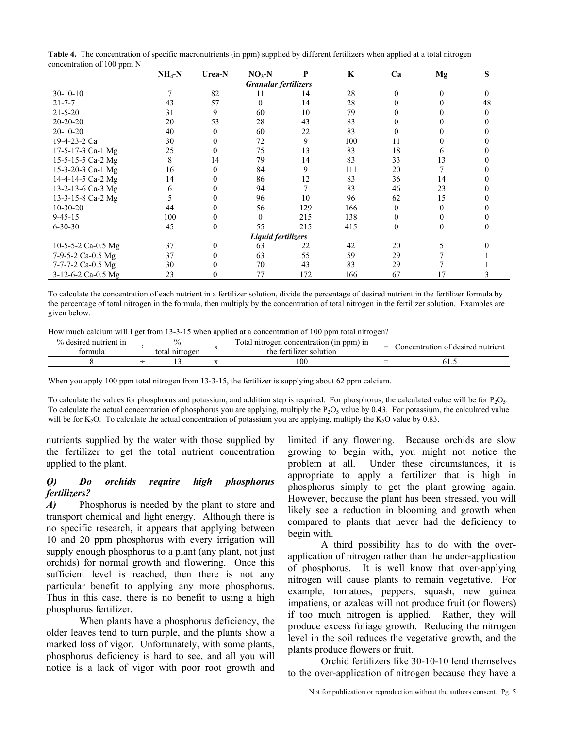| Table 4. The concentration of specific macronutrients (in ppm) supplied by different fertilizers when applied at a total nitrogen |  |
|-----------------------------------------------------------------------------------------------------------------------------------|--|
| concentration of 100 ppm N                                                                                                        |  |

| concentration of 100 ppm 14 | $NH_4-N$                    | Urea-N | $NO3-N$  | P   | K   | Ca           | Mg       | S  |  |  |
|-----------------------------|-----------------------------|--------|----------|-----|-----|--------------|----------|----|--|--|
|                             | <b>Granular fertilizers</b> |        |          |     |     |              |          |    |  |  |
| $30-10-10$                  |                             | 82     | 11       | 14  | 28  | $\Omega$     | $\Omega$ |    |  |  |
| $21 - 7 - 7$                | 43                          | 57     | $\theta$ | 14  | 28  |              |          | 48 |  |  |
| $21 - 5 - 20$               | 31                          | 9      | 60       | 10  | 79  |              |          |    |  |  |
| $20-20-20$                  | 20                          | 53     | 28       | 43  | 83  |              |          |    |  |  |
| $20-10-20$                  | 40                          |        | 60       | 22  | 83  |              |          |    |  |  |
| 19-4-23-2 Ca                | 30                          |        | 72       | 9   | 100 | 11           |          |    |  |  |
| 17-5-17-3 Ca-1 Mg           | 25                          |        | 75       | 13  | 83  | 18           |          |    |  |  |
| 15-5-15-5 Ca-2 Mg           | 8                           | 14     | 79       | 14  | 83  | 33           | 13       |    |  |  |
| 15-3-20-3 Ca-1 Mg           | 16                          |        | 84       | 9   | 111 | 20           |          |    |  |  |
| 14-4-14-5 Ca-2 Mg           | 14                          |        | 86       | 12  | 83  | 36           | 14       |    |  |  |
| 13-2-13-6 Ca-3 Mg           | 6                           |        | 94       |     | 83  | 46           | 23       |    |  |  |
| 13-3-15-8 Ca-2 Mg           |                             |        | 96       | 10  | 96  | 62           | 15       |    |  |  |
| $10-30-20$                  | 44                          |        | 56       | 129 | 166 | $\mathbf{0}$ | 0        |    |  |  |
| $9 - 45 - 15$               | 100                         |        | $\theta$ | 215 | 138 | $\theta$     | $\theta$ |    |  |  |
| $6 - 30 - 30$               | 45                          | 0      | 55       | 215 | 415 | $\theta$     | $\Omega$ |    |  |  |
| Liquid fertilizers          |                             |        |          |     |     |              |          |    |  |  |
| 10-5-5-2 Ca-0.5 Mg          | 37                          | 0      | 63       | 22  | 42  | 20           |          |    |  |  |
| 7-9-5-2 Ca-0.5 Mg           | 37                          |        | 63       | 55  | 59  | 29           |          |    |  |  |
| 7-7-7-2 Ca-0.5 Mg           | 30                          |        | 70       | 43  | 83  | 29           |          |    |  |  |
| 3-12-6-2 Ca-0.5 Mg          | 23                          |        | 77       | 172 | 166 | 67           | 17       |    |  |  |

To calculate the concentration of each nutrient in a fertilizer solution, divide the percentage of desired nutrient in the fertilizer formula by the percentage of total nitrogen in the formula, then multiply by the concentration of total nitrogen in the fertilizer solution. Examples are given below:

How much calcium will I get from 13-3-15 when applied at a concentration of 100 ppm total nitrogen?

| $\frac{0}{0}$<br>nutrient in<br><b>desire</b><br>ormula | total<br>nitrogen | $\sim$<br>ppm) in<br>concentration<br>- ( 11)<br>otal<br>nitrogen<br>. .<br>fertilizer solution<br>the |  | t nutrient<br>desired<br>concentration of |
|---------------------------------------------------------|-------------------|--------------------------------------------------------------------------------------------------------|--|-------------------------------------------|
|                                                         |                   | 100                                                                                                    |  | 01.J                                      |

When you apply 100 ppm total nitrogen from 13-3-15, the fertilizer is supplying about 62 ppm calcium.

To calculate the values for phosphorus and potassium, and addition step is required. For phosphorus, the calculated value will be for  $P_2O_5$ . To calculate the actual concentration of phosphorus you are applying, multiply the  $P_2O_5$  value by 0.43. For potassium, the calculated value will be for K<sub>2</sub>O. To calculate the actual concentration of potassium you are applying, multiply the K<sub>2</sub>O value by 0.83.

nutrients supplied by the water with those supplied by the fertilizer to get the total nutrient concentration applied to the plant.

#### *Q) Do orchids require high phosphorus fertilizers?*

*A*) Phosphorus is needed by the plant to store and transport chemical and light energy. Although there is no specific research, it appears that applying between 10 and 20 ppm phosphorus with every irrigation will supply enough phosphorus to a plant (any plant, not just orchids) for normal growth and flowering. Once this sufficient level is reached, then there is not any particular benefit to applying any more phosphorus. Thus in this case, there is no benefit to using a high phosphorus fertilizer.

 When plants have a phosphorus deficiency, the older leaves tend to turn purple, and the plants show a marked loss of vigor. Unfortunately, with some plants, phosphorus deficiency is hard to see, and all you will notice is a lack of vigor with poor root growth and limited if any flowering. Because orchids are slow growing to begin with, you might not notice the problem at all. Under these circumstances, it is appropriate to apply a fertilizer that is high in phosphorus simply to get the plant growing again. However, because the plant has been stressed, you will likely see a reduction in blooming and growth when compared to plants that never had the deficiency to begin with.

 A third possibility has to do with the overapplication of nitrogen rather than the under-application of phosphorus. It is well know that over-applying nitrogen will cause plants to remain vegetative. For example, tomatoes, peppers, squash, new guinea impatiens, or azaleas will not produce fruit (or flowers) if too much nitrogen is applied. Rather, they will produce excess foliage growth. Reducing the nitrogen level in the soil reduces the vegetative growth, and the plants produce flowers or fruit.

Orchid fertilizers like 30-10-10 lend themselves to the over-application of nitrogen because they have a